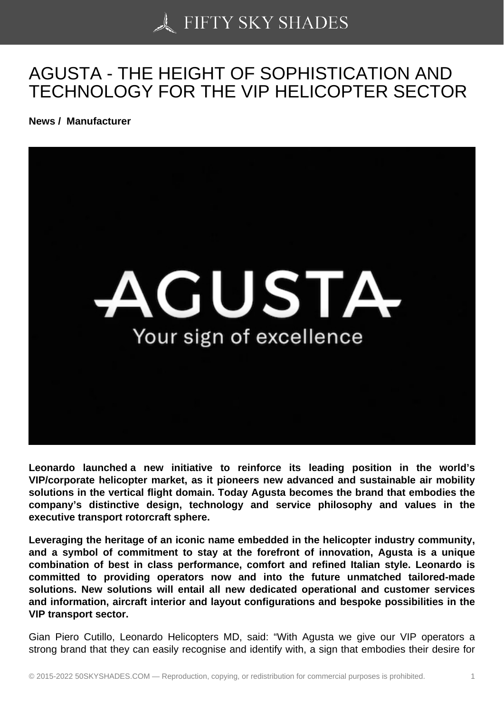## [AGUSTA - THE HEIGH](https://50skyshades.com)T OF SOPHISTICATION AND TECHNOLOGY FOR THE VIP HELICOPTER SECTOR

News / Manufacturer

Leonardo launched a new initiative to reinforce its leading position in the world's VIP/corporate helicopter market, as it pioneers new advanced and sustainable air mobility solutions in the vertical flight domain. Today Agusta becomes the brand that embodies the company's distinctive design, technology and service philosophy and values in the executive transport rotorcraft sphere.

Leveraging the heritage of an iconic name embedded in the helicopter industry community, and a symbol of commitment to stay at the forefront of innovation, Agusta is a unique combination of best in class performance, comfort and refined Italian style. Leonardo is committed to providing operators now and into the future unmatched tailored-made solutions. New solutions will entail all new dedicated operational and customer services and information, aircraft interior and layout configurations and bespoke possibilities in the VIP transport sector.

Gian Piero Cutillo, Leonardo Helicopters MD, said: "With Agusta we give our VIP operators a strong brand that they can easily recognise and identify with, a sign that embodies their desire for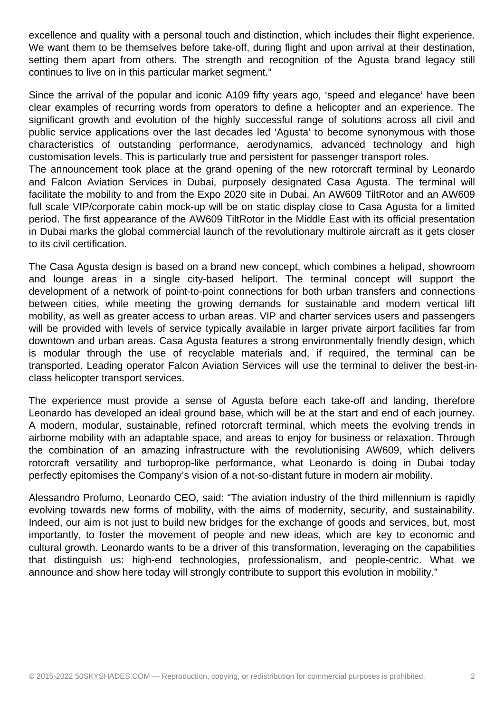excellence and quality with a personal touch and distinction, which includes their flight experience. We want them to be themselves before take-off, during flight and upon arrival at their destination, setting them apart from others. The strength and recognition of the Agusta brand legacy still continues to live on in this particular market segment."

Since the arrival of the popular and iconic A109 fifty years ago, 'speed and elegance' have been clear examples of recurring words from operators to define a helicopter and an experience. The significant growth and evolution of the highly successful range of solutions across all civil and public service applications over the last decades led 'Agusta' to become synonymous with those characteristics of outstanding performance, aerodynamics, advanced technology and high customisation levels. This is particularly true and persistent for passenger transport roles.

The announcement took place at the grand opening of the new rotorcraft terminal by Leonardo and Falcon Aviation Services in Dubai, purposely designated Casa Agusta. The terminal will facilitate the mobility to and from the Expo 2020 site in Dubai. An AW609 TiltRotor and an AW609 full scale VIP/corporate cabin mock-up will be on static display close to Casa Agusta for a limited period. The first appearance of the AW609 TiltRotor in the Middle East with its official presentation in Dubai marks the global commercial launch of the revolutionary multirole aircraft as it gets closer to its civil certification.

The Casa Agusta design is based on a brand new concept, which combines a helipad, showroom and lounge areas in a single city-based heliport. The terminal concept will support the development of a network of point-to-point connections for both urban transfers and connections between cities, while meeting the growing demands for sustainable and modern vertical lift mobility, as well as greater access to urban areas. VIP and charter services users and passengers will be provided with levels of service typically available in larger private airport facilities far from downtown and urban areas. Casa Agusta features a strong environmentally friendly design, which is modular through the use of recyclable materials and, if required, the terminal can be transported. Leading operator Falcon Aviation Services will use the terminal to deliver the best-inclass helicopter transport services.

The experience must provide a sense of Agusta before each take-off and landing, therefore Leonardo has developed an ideal ground base, which will be at the start and end of each journey. A modern, modular, sustainable, refined rotorcraft terminal, which meets the evolving trends in airborne mobility with an adaptable space, and areas to enjoy for business or relaxation. Through the combination of an amazing infrastructure with the revolutionising AW609, which delivers rotorcraft versatility and turboprop-like performance, what Leonardo is doing in Dubai today perfectly epitomises the Company's vision of a not-so-distant future in modern air mobility.

Alessandro Profumo, Leonardo CEO, said: "The aviation industry of the third millennium is rapidly evolving towards new forms of mobility, with the aims of modernity, security, and sustainability. Indeed, our aim is not just to build new bridges for the exchange of goods and services, but, most importantly, to foster the movement of people and new ideas, which are key to economic and cultural growth. Leonardo wants to be a driver of this transformation, leveraging on the capabilities that distinguish us: high-end technologies, professionalism, and people-centric. What we announce and show here today will strongly contribute to support this evolution in mobility."